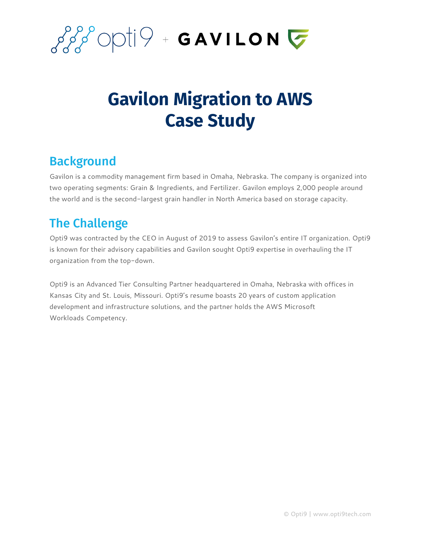

## **Gavilon Migration to AWS Case Study**

## **Background**

Gavilon is a commodity management firm based in Omaha, Nebraska. The company is organized into two operating segments: Grain & Ingredients, and Fertilizer. Gavilon employs 2,000 people around the world and is the second-largest grain handler in North America based on storage capacity.

## The Challenge

Opti9 was contracted by the CEO in August of 2019 to assess Gavilon's entire IT organization. Opti9 is known for their advisory capabilities and Gavilon sought Opti9 expertise in overhauling the IT organization from the top-down.

Opti9 is an Advanced Tier Consulting Partner headquartered in Omaha, Nebraska with offices in Kansas City and St. Louis, Missouri. Opti9's resume boasts 20 years of custom application development and infrastructure solutions, and the partner holds the AWS Microsoft Workloads Competency.